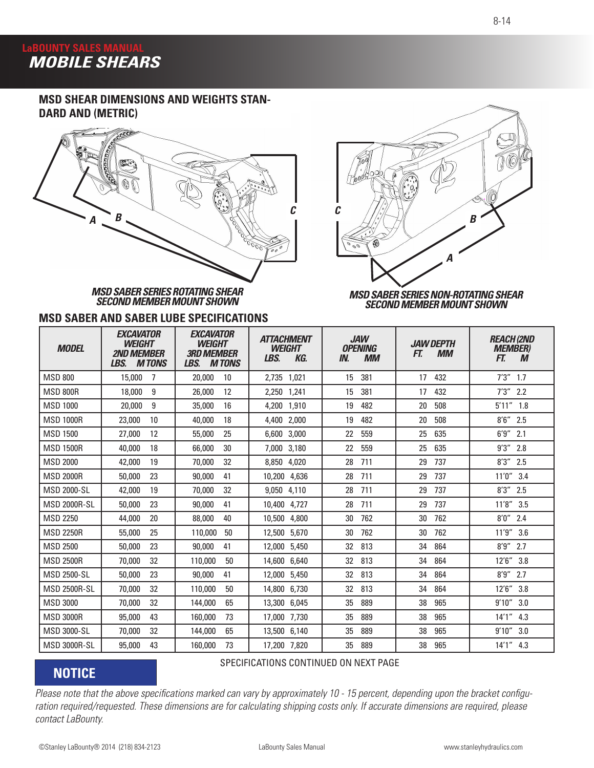# **LaBOUNTY SALES MANUAL<br>AMORILE SHEAL**  *MOBILE SHEARS*

## **MSD SHEAR DIMENSIONS AND WEIGHTS STAN-DARD AND (METRIC)**



*MSD SABER SERIES ROTATING SHEAR SECOND MEMBER MOUNT SHOWN*

### **MSD SABER AND SABER LUBE SPECIFICATIONS**



#### *MSD SABER SERIES NON-ROTATING SHEAR SECOND MEMBER MOUNT SHOWN*

| <b>MODEL</b>        | <b>EXCAVATOR</b><br><b>WEIGHT</b><br><b>2ND MFMRFR</b><br><b>MTONS</b><br>LBS. | <b>EXCAVATOR</b><br><b>WEIGHT</b><br><b>3RD MEMBER</b><br>LBS.<br><b>MTONS</b> | <b>ATTACHMENT</b><br><b>WEIGHT</b><br>LBS.<br>KG. | <b>JAW</b><br><b>OPENING</b><br>IN.<br><b>MM</b> | <b>.IAW DFPTH</b><br><b>MM</b><br>FT. | <b>REACH (2ND</b><br><b>MEMBER)</b><br>FT.<br>M |
|---------------------|--------------------------------------------------------------------------------|--------------------------------------------------------------------------------|---------------------------------------------------|--------------------------------------------------|---------------------------------------|-------------------------------------------------|
| <b>MSD 800</b>      | 15,000<br>-7                                                                   | 20,000<br>10                                                                   | 2,735 1,021                                       | 381<br>15                                        | 432<br>17                             | $7'3''$ 1.7                                     |
| <b>MSD 800R</b>     | 9<br>18,000                                                                    | 12<br>26,000                                                                   | 2,250 1,241                                       | 381<br>15                                        | 432<br>17                             | $7'3''$ 2.2                                     |
| <b>MSD 1000</b>     | 9<br>20,000                                                                    | 16<br>35,000                                                                   | 4.200<br>1,910                                    | 482<br>19                                        | 508<br>20                             | 5'11''<br>1.8                                   |
| <b>MSD 1000R</b>    | 23,000<br>10                                                                   | 18<br>40,000                                                                   | 2,000<br>4,400                                    | 482<br>19                                        | 508<br>20                             | $8'6''$<br>2.5                                  |
| <b>MSD 1500</b>     | 12<br>27,000                                                                   | 25<br>55,000                                                                   | 3,000<br>6,600                                    | 22<br>559                                        | 635<br>25                             | 6'9''<br>2.1                                    |
| <b>MSD 1500R</b>    | 40,000<br>18                                                                   | 66,000<br>30                                                                   | 7,000 3,180                                       | 559<br>22                                        | 25<br>635                             | $9'3''$ 2.8                                     |
| <b>MSD 2000</b>     | 42,000<br>19                                                                   | 32<br>70,000                                                                   | 4,020<br>8,850                                    | 28<br>711                                        | 737<br>29                             | 8'3''<br>2.5                                    |
| <b>MSD 2000R</b>    | 23<br>50,000                                                                   | 41<br>90,000                                                                   | 10,200<br>4,636                                   | 28<br>711                                        | 737<br>29                             | 11'0''<br>3.4                                   |
| <b>MSD 2000-SL</b>  | 42,000<br>19                                                                   | 32<br>70,000                                                                   | 9,050 4,110                                       | 28<br>711                                        | 737<br>29                             | 8'3''<br>2.5                                    |
| <b>MSD 2000R-SL</b> | 23<br>50,000                                                                   | 90,000<br>41                                                                   | 10,400<br>4,727                                   | 711<br>28                                        | 737<br>29                             | 11'8''<br>3.5                                   |
| <b>MSD 2250</b>     | 44,000<br>20                                                                   | 88,000<br>40                                                                   | 10,500<br>4,800                                   | 762<br>30                                        | 30<br>762                             | $8'0''$ 2.4                                     |
| <b>MSD 2250R</b>    | 55,000<br>25                                                                   | 110,000<br>50                                                                  | 5,670<br>12,500                                   | 762<br>30                                        | 30<br>762                             | 11'9''<br>3.6                                   |
| <b>MSD 2500</b>     | 23<br>50,000                                                                   | 90,000<br>41                                                                   | 12,000<br>5,450                                   | 32<br>813                                        | 864<br>34                             | 8'9''<br>2.7                                    |
| <b>MSD 2500R</b>    | 70,000<br>32                                                                   | 110,000<br>50                                                                  | 14,600 6,640                                      | 32<br>813                                        | 864<br>34                             | 12'6''<br>3.8                                   |
| <b>MSD 2500-SL</b>  | 23<br>50,000                                                                   | 90,000<br>41                                                                   | 12,000<br>5,450                                   | 32<br>813                                        | 34<br>864                             | $8'9''$ 2.7                                     |
| <b>MSD 2500R-SL</b> | 32<br>70,000                                                                   | 110,000<br>50                                                                  | 14,800<br>6,730                                   | 813<br>32                                        | 864<br>34                             | 12'6''<br>3.8                                   |
| <b>MSD 3000</b>     | 70,000<br>32                                                                   | 65<br>144,000                                                                  | 13,300<br>6,045                                   | 889<br>35                                        | 38<br>965                             | 9'10''<br>3.0                                   |
| <b>MSD 3000R</b>    | 43<br>95,000                                                                   | 73<br>160,000                                                                  | 17,000<br>7,730                                   | 889<br>35                                        | 965<br>38                             | $14'1''$ 4.3                                    |
| <b>MSD 3000-SL</b>  | 32<br>70,000                                                                   | 65<br>144,000                                                                  | 13,500 6,140                                      | 35<br>889                                        | 965<br>38                             | 9'10''<br>3.0                                   |
| <b>MSD 3000R-SL</b> | 43<br>95,000                                                                   | 73<br>160,000                                                                  | 17,200 7,820                                      | 35<br>889                                        | 38<br>965                             | $14'1''$ 4.3                                    |

# **NOTICE**

### SPECIFICATIONS CONTINUED ON NEXT PAGE

*Please note that the above specifications marked can vary by approximately 10 - 15 percent, depending upon the bracket configuration required/requested. These dimensions are for calculating shipping costs only. If accurate dimensions are required, please contact LaBounty.*